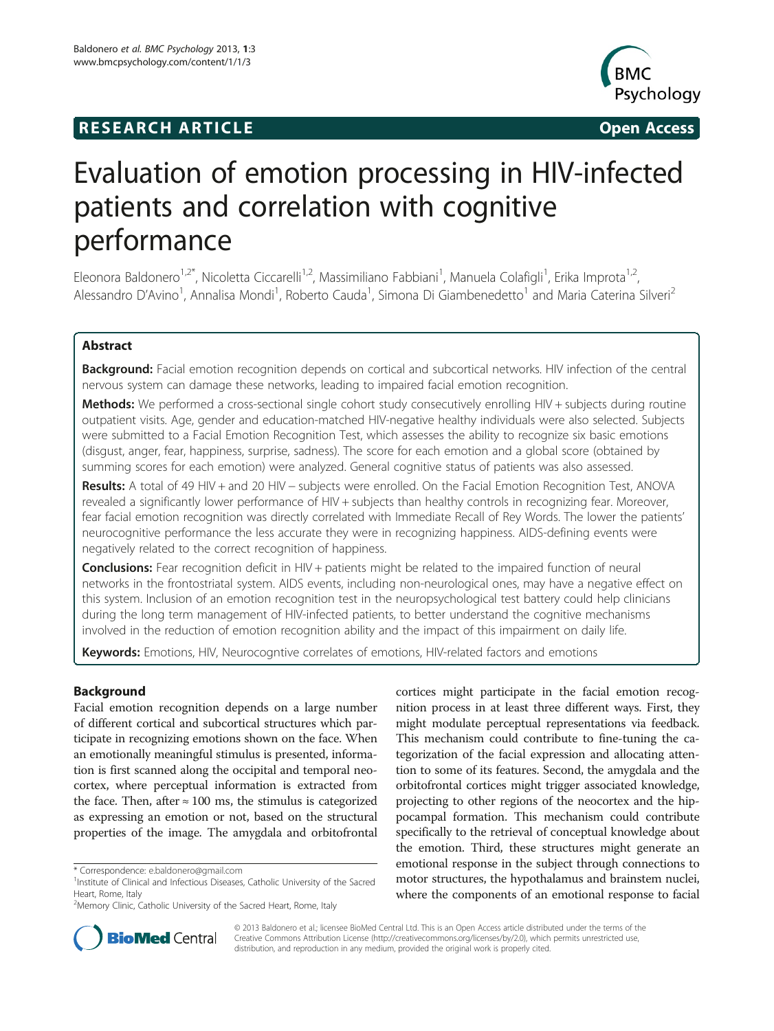# **RESEARCH ARTICLE CONSUMING A RESEARCH ARTICLE**



# Evaluation of emotion processing in HIV-infected patients and correlation with cognitive performance

Eleonora Baldonero<sup>1,2\*</sup>, Nicoletta Ciccarelli<sup>1,2</sup>, Massimiliano Fabbiani<sup>1</sup>, Manuela Colafigli<sup>1</sup>, Erika Improta<sup>1,2</sup>, Alessandro D'Avino<sup>1</sup>, Annalisa Mondi<sup>1</sup>, Roberto Cauda<sup>1</sup>, Simona Di Giambenedetto<sup>1</sup> and Maria Caterina Silveri<sup>2</sup>

# Abstract

Background: Facial emotion recognition depends on cortical and subcortical networks. HIV infection of the central nervous system can damage these networks, leading to impaired facial emotion recognition.

Methods: We performed a cross-sectional single cohort study consecutively enrolling HIV + subjects during routine outpatient visits. Age, gender and education-matched HIV-negative healthy individuals were also selected. Subjects were submitted to a Facial Emotion Recognition Test, which assesses the ability to recognize six basic emotions (disgust, anger, fear, happiness, surprise, sadness). The score for each emotion and a global score (obtained by summing scores for each emotion) were analyzed. General cognitive status of patients was also assessed.

Results: A total of 49 HIV + and 20 HIV – subjects were enrolled. On the Facial Emotion Recognition Test, ANOVA revealed a significantly lower performance of HIV + subjects than healthy controls in recognizing fear. Moreover, fear facial emotion recognition was directly correlated with Immediate Recall of Rey Words. The lower the patients' neurocognitive performance the less accurate they were in recognizing happiness. AIDS-defining events were negatively related to the correct recognition of happiness.

**Conclusions:** Fear recognition deficit in HIV + patients might be related to the impaired function of neural networks in the frontostriatal system. AIDS events, including non-neurological ones, may have a negative effect on this system. Inclusion of an emotion recognition test in the neuropsychological test battery could help clinicians during the long term management of HIV-infected patients, to better understand the cognitive mechanisms involved in the reduction of emotion recognition ability and the impact of this impairment on daily life.

Keywords: Emotions, HIV, Neurocogntive correlates of emotions, HIV-related factors and emotions

# Background

Facial emotion recognition depends on a large number of different cortical and subcortical structures which participate in recognizing emotions shown on the face. When an emotionally meaningful stimulus is presented, information is first scanned along the occipital and temporal neocortex, where perceptual information is extracted from the face. Then, after  $\approx 100$  ms, the stimulus is categorized as expressing an emotion or not, based on the structural properties of the image. The amygdala and orbitofrontal cortices might participate in the facial emotion recognition process in at least three different ways. First, they might modulate perceptual representations via feedback. This mechanism could contribute to fine-tuning the categorization of the facial expression and allocating attention to some of its features. Second, the amygdala and the orbitofrontal cortices might trigger associated knowledge, projecting to other regions of the neocortex and the hippocampal formation. This mechanism could contribute specifically to the retrieval of conceptual knowledge about the emotion. Third, these structures might generate an emotional response in the subject through connections to motor structures, the hypothalamus and brainstem nuclei, where the components of an emotional response to facial



© 2013 Baldonero et al.; licensee BioMed Central Ltd. This is an Open Access article distributed under the terms of the Creative Commons Attribution License (<http://creativecommons.org/licenses/by/2.0>), which permits unrestricted use, distribution, and reproduction in any medium, provided the original work is properly cited.

<sup>\*</sup> Correspondence: [e.baldonero@gmail.com](mailto:e.baldonero@gmail.com) <sup>1</sup>

<sup>&</sup>lt;sup>1</sup>Institute of Clinical and Infectious Diseases, Catholic University of the Sacred Heart, Rome, Italy

<sup>&</sup>lt;sup>2</sup>Memory Clinic, Catholic University of the Sacred Heart, Rome, Italy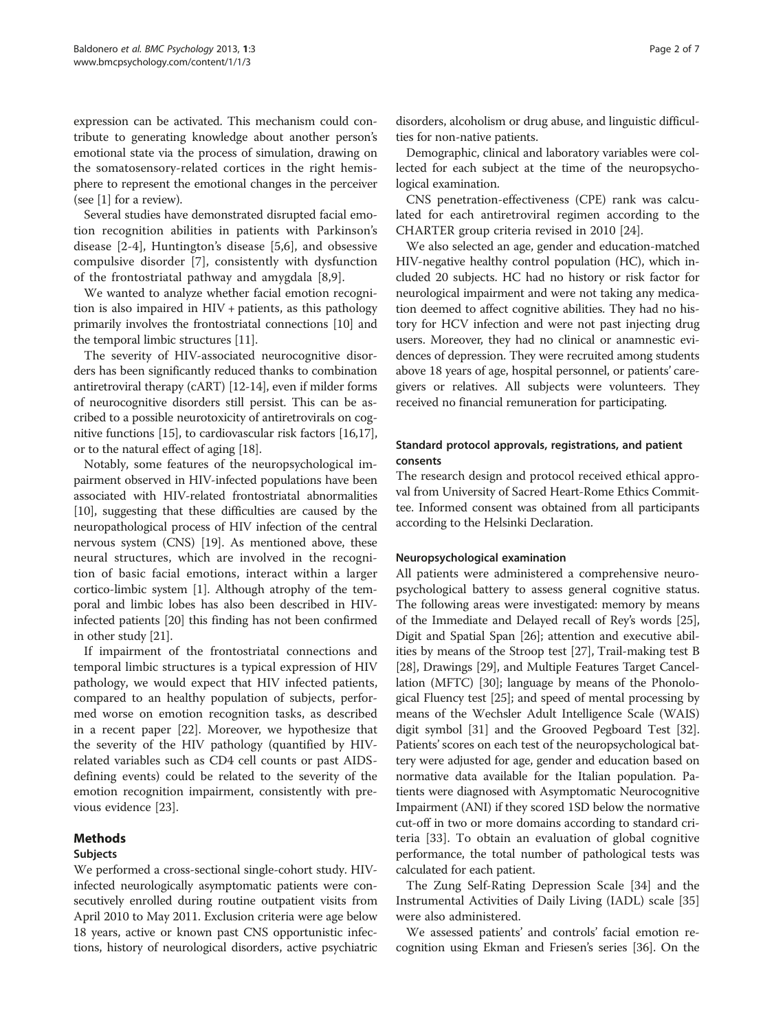expression can be activated. This mechanism could contribute to generating knowledge about another person's emotional state via the process of simulation, drawing on the somatosensory-related cortices in the right hemisphere to represent the emotional changes in the perceiver (see [[1\]](#page-5-0) for a review).

Several studies have demonstrated disrupted facial emotion recognition abilities in patients with Parkinson's disease [\[2](#page-5-0)-[4\]](#page-5-0), Huntington's disease [\[5,6](#page-5-0)], and obsessive compulsive disorder [\[7](#page-5-0)], consistently with dysfunction of the frontostriatal pathway and amygdala [[8,9\]](#page-5-0).

We wanted to analyze whether facial emotion recognition is also impaired in HIV + patients, as this pathology primarily involves the frontostriatal connections [\[10\]](#page-5-0) and the temporal limbic structures [[11](#page-5-0)].

The severity of HIV-associated neurocognitive disorders has been significantly reduced thanks to combination antiretroviral therapy (cART) [\[12-14\]](#page-5-0), even if milder forms of neurocognitive disorders still persist. This can be ascribed to a possible neurotoxicity of antiretrovirals on cognitive functions [[15\]](#page-5-0), to cardiovascular risk factors [\[16,17](#page-5-0)], or to the natural effect of aging [[18](#page-5-0)].

Notably, some features of the neuropsychological impairment observed in HIV-infected populations have been associated with HIV-related frontostriatal abnormalities [[10](#page-5-0)], suggesting that these difficulties are caused by the neuropathological process of HIV infection of the central nervous system (CNS) [[19](#page-5-0)]. As mentioned above, these neural structures, which are involved in the recognition of basic facial emotions, interact within a larger cortico-limbic system [[1](#page-5-0)]. Although atrophy of the temporal and limbic lobes has also been described in HIVinfected patients [\[20](#page-5-0)] this finding has not been confirmed in other study [\[21\]](#page-5-0).

If impairment of the frontostriatal connections and temporal limbic structures is a typical expression of HIV pathology, we would expect that HIV infected patients, compared to an healthy population of subjects, performed worse on emotion recognition tasks, as described in a recent paper [[22\]](#page-5-0). Moreover, we hypothesize that the severity of the HIV pathology (quantified by HIVrelated variables such as CD4 cell counts or past AIDSdefining events) could be related to the severity of the emotion recognition impairment, consistently with previous evidence [\[23](#page-5-0)].

# Methods

# Subjects

We performed a cross-sectional single-cohort study. HIVinfected neurologically asymptomatic patients were consecutively enrolled during routine outpatient visits from April 2010 to May 2011. Exclusion criteria were age below 18 years, active or known past CNS opportunistic infections, history of neurological disorders, active psychiatric disorders, alcoholism or drug abuse, and linguistic difficulties for non-native patients.

Demographic, clinical and laboratory variables were collected for each subject at the time of the neuropsychological examination.

CNS penetration-effectiveness (CPE) rank was calculated for each antiretroviral regimen according to the CHARTER group criteria revised in 2010 [\[24\]](#page-5-0).

We also selected an age, gender and education-matched HIV-negative healthy control population (HC), which included 20 subjects. HC had no history or risk factor for neurological impairment and were not taking any medication deemed to affect cognitive abilities. They had no history for HCV infection and were not past injecting drug users. Moreover, they had no clinical or anamnestic evidences of depression. They were recruited among students above 18 years of age, hospital personnel, or patients' caregivers or relatives. All subjects were volunteers. They received no financial remuneration for participating.

# Standard protocol approvals, registrations, and patient consents

The research design and protocol received ethical approval from University of Sacred Heart-Rome Ethics Committee. Informed consent was obtained from all participants according to the Helsinki Declaration.

# Neuropsychological examination

All patients were administered a comprehensive neuropsychological battery to assess general cognitive status. The following areas were investigated: memory by means of the Immediate and Delayed recall of Rey's words [[25](#page-5-0)], Digit and Spatial Span [\[26\]](#page-5-0); attention and executive abilities by means of the Stroop test [\[27](#page-5-0)], Trail-making test B [[28](#page-5-0)], Drawings [[29](#page-5-0)], and Multiple Features Target Cancellation (MFTC) [[30](#page-6-0)]; language by means of the Phonological Fluency test [[25](#page-5-0)]; and speed of mental processing by means of the Wechsler Adult Intelligence Scale (WAIS) digit symbol [\[31](#page-6-0)] and the Grooved Pegboard Test [[32](#page-6-0)]. Patients' scores on each test of the neuropsychological battery were adjusted for age, gender and education based on normative data available for the Italian population. Patients were diagnosed with Asymptomatic Neurocognitive Impairment (ANI) if they scored 1SD below the normative cut-off in two or more domains according to standard criteria [[33\]](#page-6-0). To obtain an evaluation of global cognitive performance, the total number of pathological tests was calculated for each patient.

The Zung Self-Rating Depression Scale [\[34](#page-6-0)] and the Instrumental Activities of Daily Living (IADL) scale [[35](#page-6-0)] were also administered.

We assessed patients' and controls' facial emotion recognition using Ekman and Friesen's series [\[36\]](#page-6-0). On the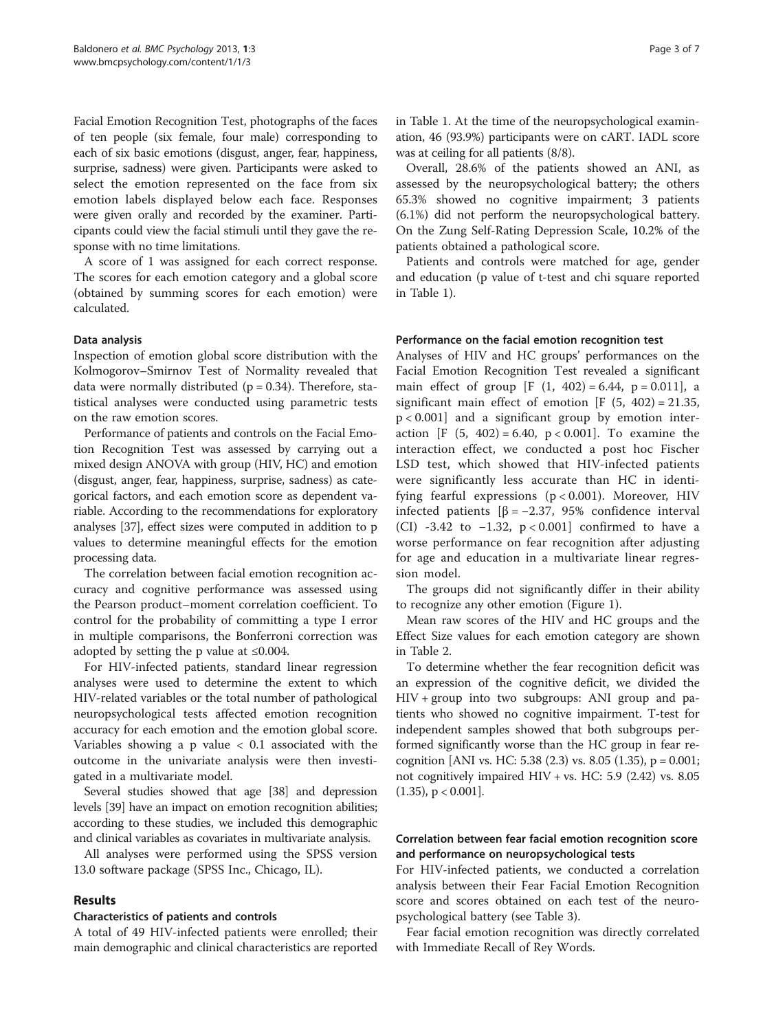Facial Emotion Recognition Test, photographs of the faces of ten people (six female, four male) corresponding to each of six basic emotions (disgust, anger, fear, happiness, surprise, sadness) were given. Participants were asked to select the emotion represented on the face from six emotion labels displayed below each face. Responses were given orally and recorded by the examiner. Participants could view the facial stimuli until they gave the response with no time limitations.

A score of 1 was assigned for each correct response. The scores for each emotion category and a global score (obtained by summing scores for each emotion) were calculated.

#### Data analysis

Inspection of emotion global score distribution with the Kolmogorov–Smirnov Test of Normality revealed that data were normally distributed ( $p = 0.34$ ). Therefore, statistical analyses were conducted using parametric tests on the raw emotion scores.

Performance of patients and controls on the Facial Emotion Recognition Test was assessed by carrying out a mixed design ANOVA with group (HIV, HC) and emotion (disgust, anger, fear, happiness, surprise, sadness) as categorical factors, and each emotion score as dependent variable. According to the recommendations for exploratory analyses [[37](#page-6-0)], effect sizes were computed in addition to p values to determine meaningful effects for the emotion processing data.

The correlation between facial emotion recognition accuracy and cognitive performance was assessed using the Pearson product–moment correlation coefficient. To control for the probability of committing a type I error in multiple comparisons, the Bonferroni correction was adopted by setting the p value at  $\leq 0.004$ .

For HIV-infected patients, standard linear regression analyses were used to determine the extent to which HIV-related variables or the total number of pathological neuropsychological tests affected emotion recognition accuracy for each emotion and the emotion global score. Variables showing a p value  $< 0.1$  associated with the outcome in the univariate analysis were then investigated in a multivariate model.

Several studies showed that age [[38](#page-6-0)] and depression levels [\[39](#page-6-0)] have an impact on emotion recognition abilities; according to these studies, we included this demographic and clinical variables as covariates in multivariate analysis.

All analyses were performed using the SPSS version 13.0 software package (SPSS Inc., Chicago, IL).

# Results

#### Characteristics of patients and controls

A total of 49 HIV-infected patients were enrolled; their main demographic and clinical characteristics are reported in Table [1](#page-3-0). At the time of the neuropsychological examination, 46 (93.9%) participants were on cART. IADL score was at ceiling for all patients (8/8).

Overall, 28.6% of the patients showed an ANI, as assessed by the neuropsychological battery; the others 65.3% showed no cognitive impairment; 3 patients (6.1%) did not perform the neuropsychological battery. On the Zung Self-Rating Depression Scale, 10.2% of the patients obtained a pathological score.

Patients and controls were matched for age, gender and education (p value of t-test and chi square reported in Table [1\)](#page-3-0).

#### Performance on the facial emotion recognition test

Analyses of HIV and HC groups' performances on the Facial Emotion Recognition Test revealed a significant main effect of group  $[F (1, 402) = 6.44, p = 0.011]$ , a significant main effect of emotion  $[F (5, 402) = 21.35,$ p < 0.001] and a significant group by emotion interaction [F  $(5, 402) = 6.40, p < 0.001$ ]. To examine the interaction effect, we conducted a post hoc Fischer LSD test, which showed that HIV-infected patients were significantly less accurate than HC in identifying fearful expressions (p < 0.001). Moreover, HIV infected patients  $β = -2.37$ , 95% confidence interval (CI) -3.42 to −1.32, p < 0.001] confirmed to have a worse performance on fear recognition after adjusting for age and education in a multivariate linear regression model.

The groups did not significantly differ in their ability to recognize any other emotion (Figure [1](#page-3-0)).

Mean raw scores of the HIV and HC groups and the Effect Size values for each emotion category are shown in Table [2.](#page-3-0)

To determine whether the fear recognition deficit was an expression of the cognitive deficit, we divided the HIV + group into two subgroups: ANI group and patients who showed no cognitive impairment. T-test for independent samples showed that both subgroups performed significantly worse than the HC group in fear recognition [ANI vs. HC: 5.38 (2.3) vs. 8.05 (1.35), p = 0.001; not cognitively impaired HIV + vs. HC: 5.9 (2.42) vs. 8.05  $(1.35)$ , p < 0.001].

#### Correlation between fear facial emotion recognition score and performance on neuropsychological tests

For HIV-infected patients, we conducted a correlation analysis between their Fear Facial Emotion Recognition score and scores obtained on each test of the neuropsychological battery (see Table [3\)](#page-3-0).

Fear facial emotion recognition was directly correlated with Immediate Recall of Rey Words.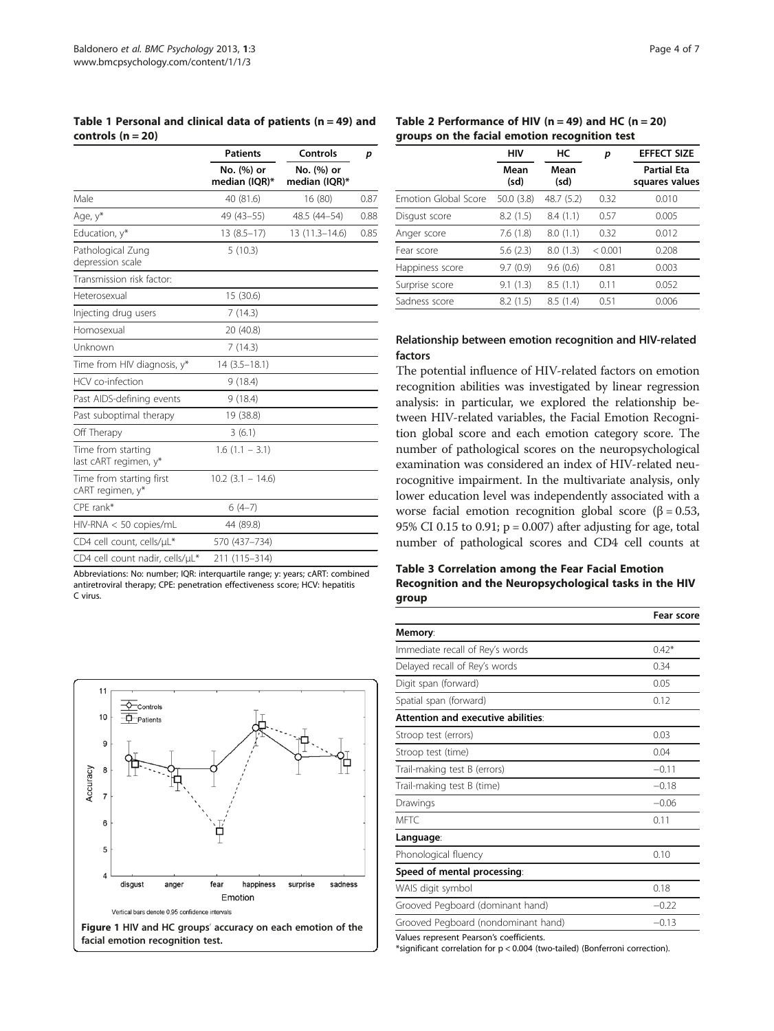<span id="page-3-0"></span>Table 1 Personal and clinical data of patients ( $n = 49$ ) and controls  $(n = 20)$ 

|                                              | <b>Patients</b>             | Controls                    | p    |
|----------------------------------------------|-----------------------------|-----------------------------|------|
|                                              | No. (%) or<br>median (IQR)* | No. (%) or<br>median (IQR)* |      |
| Male                                         | 40 (81.6)                   | 16 (80)                     | 0.87 |
| Age, y*                                      | 49 (43-55)                  | 48.5 (44-54)                | 0.88 |
| Education, y*                                | $13(8.5-17)$                | 13 (11.3-14.6)              | 0.85 |
| Pathological Zung<br>depression scale        | 5(10.3)                     |                             |      |
| Transmission risk factor:                    |                             |                             |      |
| Heterosexual                                 | 15 (30.6)                   |                             |      |
| Injecting drug users                         | 7(14.3)                     |                             |      |
| Homosexual                                   | 20 (40.8)                   |                             |      |
| Unknown                                      | 7(14.3)                     |                             |      |
| Time from HIV diagnosis, y*                  | $14(3.5 - 18.1)$            |                             |      |
| HCV co-infection                             | 9(18.4)                     |                             |      |
| Past AIDS-defining events                    | 9(18.4)                     |                             |      |
| Past suboptimal therapy                      | 19 (38.8)                   |                             |      |
| Off Therapy                                  | 3(6.1)                      |                             |      |
| Time from starting<br>last cART regimen, y*  | $1.6(1.1 - 3.1)$            |                             |      |
| Time from starting first<br>cART regimen, y* | $10.2$ $(3.1 - 14.6)$       |                             |      |
| CPE rank*                                    | $6(4-7)$                    |                             |      |
| $HIV-RNA < 50$ copies/mL                     | 44 (89.8)                   |                             |      |
| CD4 cell count, cells/µL*                    | 570 (437-734)               |                             |      |
| CD4 cell count nadir, cells/uL*              | 211 (115-314)               |                             |      |

Abbreviations: No: number; IQR: interquartile range; y: years; cART: combined antiretroviral therapy; CPE: penetration effectiveness score; HCV: hepatitis C virus.



# Table 2 Performance of HIV ( $n = 49$ ) and HC ( $n = 20$ ) groups on the facial emotion recognition test

|                      | HIV          | HC<br>Mean<br>(sd) | р       | <b>EFFECT SIZE</b>                   |  |
|----------------------|--------------|--------------------|---------|--------------------------------------|--|
|                      | Mean<br>(sd) |                    |         | <b>Partial Eta</b><br>squares values |  |
| Emotion Global Score | 50.0 (3.8)   | 48.7 (5.2)         | 0.32    | 0.010                                |  |
| Disgust score        | 8.2(1.5)     | 8.4(1.1)           | 0.57    | 0.005                                |  |
| Anger score          | 7.6(1.8)     | 8.0(1.1)           | 0.32    | 0.012                                |  |
| Fear score           | 5.6(2.3)     | 8.0(1.3)           | < 0.001 | 0.208                                |  |
| Happiness score      | 9.7(0.9)     | 9.6(0.6)           | 0.81    | 0.003                                |  |
| Surprise score       | 9.1(1.3)     | 8.5(1.1)           | 0.11    | 0.052                                |  |
| Sadness score        | 8.2(1.5)     | 8.5(1.4)           | 0.51    | 0.006                                |  |

#### Relationship between emotion recognition and HIV-related factors

The potential influence of HIV-related factors on emotion recognition abilities was investigated by linear regression analysis: in particular, we explored the relationship between HIV-related variables, the Facial Emotion Recognition global score and each emotion category score. The number of pathological scores on the neuropsychological examination was considered an index of HIV-related neurocognitive impairment. In the multivariate analysis, only lower education level was independently associated with a worse facial emotion recognition global score ( $\beta$  = 0.53, 95% CI 0.15 to 0.91;  $p = 0.007$ ) after adjusting for age, total number of pathological scores and CD4 cell counts at

#### Table 3 Correlation among the Fear Facial Emotion Recognition and the Neuropsychological tasks in the HIV group

|                                                                      | Fear score |
|----------------------------------------------------------------------|------------|
| Memory:                                                              |            |
| Immediate recall of Rey's words                                      | $0.42*$    |
| Delayed recall of Rey's words                                        | 0.34       |
| Digit span (forward)                                                 | 0.05       |
| Spatial span (forward)                                               | 0.12       |
| Attention and executive abilities:                                   |            |
| Stroop test (errors)                                                 | 0.03       |
| Stroop test (time)                                                   | 0.04       |
| Trail-making test B (errors)                                         | $-0.11$    |
| Trail-making test B (time)                                           | $-0.18$    |
| Drawings                                                             | $-0.06$    |
| <b>MFTC</b>                                                          | 0.11       |
| Language:                                                            |            |
| Phonological fluency                                                 | 0.10       |
| Speed of mental processing:                                          |            |
| WAIS digit symbol                                                    | 0.18       |
| Grooved Pegboard (dominant hand)                                     | $-0.22$    |
| Grooved Pegboard (nondominant hand)                                  | $-0.13$    |
| $M_{\rm e}$ . The contract of the contract of the contract of $\sim$ |            |

Values represent Pearson's coefficients.

\*significant correlation for p < 0.004 (two-tailed) (Bonferroni correction).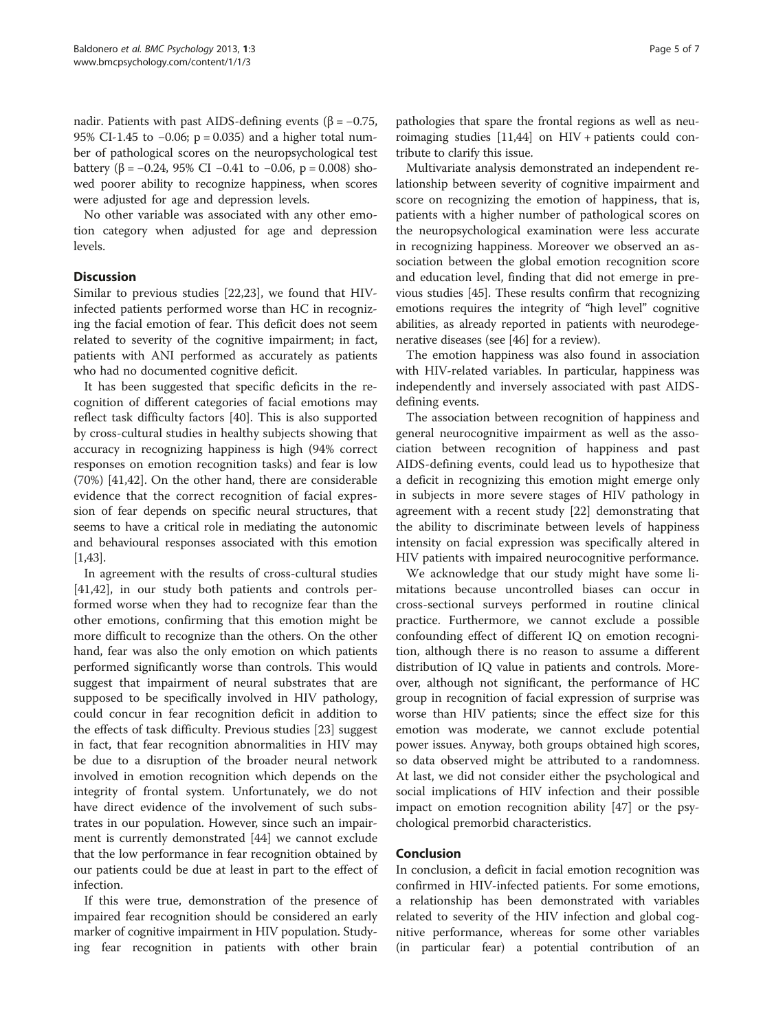nadir. Patients with past AIDS-defining events ( $β = -0.75$ , 95% CI-1.45 to −0.06; p = 0.035) and a higher total number of pathological scores on the neuropsychological test battery (β = −0.24, 95% CI −0.41 to −0.06, p = 0.008) showed poorer ability to recognize happiness, when scores were adjusted for age and depression levels.

No other variable was associated with any other emotion category when adjusted for age and depression levels.

#### **Discussion**

Similar to previous studies [[22](#page-5-0),[23](#page-5-0)], we found that HIVinfected patients performed worse than HC in recognizing the facial emotion of fear. This deficit does not seem related to severity of the cognitive impairment; in fact, patients with ANI performed as accurately as patients who had no documented cognitive deficit.

It has been suggested that specific deficits in the recognition of different categories of facial emotions may reflect task difficulty factors [[40](#page-6-0)]. This is also supported by cross-cultural studies in healthy subjects showing that accuracy in recognizing happiness is high (94% correct responses on emotion recognition tasks) and fear is low (70%) [\[41,42\]](#page-6-0). On the other hand, there are considerable evidence that the correct recognition of facial expression of fear depends on specific neural structures, that seems to have a critical role in mediating the autonomic and behavioural responses associated with this emotion [[1,](#page-5-0)[43](#page-6-0)].

In agreement with the results of cross-cultural studies [[41,42\]](#page-6-0), in our study both patients and controls performed worse when they had to recognize fear than the other emotions, confirming that this emotion might be more difficult to recognize than the others. On the other hand, fear was also the only emotion on which patients performed significantly worse than controls. This would suggest that impairment of neural substrates that are supposed to be specifically involved in HIV pathology, could concur in fear recognition deficit in addition to the effects of task difficulty. Previous studies [[23\]](#page-5-0) suggest in fact, that fear recognition abnormalities in HIV may be due to a disruption of the broader neural network involved in emotion recognition which depends on the integrity of frontal system. Unfortunately, we do not have direct evidence of the involvement of such substrates in our population. However, since such an impairment is currently demonstrated [[44\]](#page-6-0) we cannot exclude that the low performance in fear recognition obtained by our patients could be due at least in part to the effect of infection.

If this were true, demonstration of the presence of impaired fear recognition should be considered an early marker of cognitive impairment in HIV population. Studying fear recognition in patients with other brain

pathologies that spare the frontal regions as well as neuroimaging studies [[11](#page-5-0)[,44\]](#page-6-0) on HIV + patients could contribute to clarify this issue.

Multivariate analysis demonstrated an independent relationship between severity of cognitive impairment and score on recognizing the emotion of happiness, that is, patients with a higher number of pathological scores on the neuropsychological examination were less accurate in recognizing happiness. Moreover we observed an association between the global emotion recognition score and education level, finding that did not emerge in previous studies [\[45\]](#page-6-0). These results confirm that recognizing emotions requires the integrity of "high level" cognitive abilities, as already reported in patients with neurodegenerative diseases (see [[46](#page-6-0)] for a review).

The emotion happiness was also found in association with HIV-related variables. In particular, happiness was independently and inversely associated with past AIDSdefining events.

The association between recognition of happiness and general neurocognitive impairment as well as the association between recognition of happiness and past AIDS-defining events, could lead us to hypothesize that a deficit in recognizing this emotion might emerge only in subjects in more severe stages of HIV pathology in agreement with a recent study [[22\]](#page-5-0) demonstrating that the ability to discriminate between levels of happiness intensity on facial expression was specifically altered in HIV patients with impaired neurocognitive performance.

We acknowledge that our study might have some limitations because uncontrolled biases can occur in cross-sectional surveys performed in routine clinical practice. Furthermore, we cannot exclude a possible confounding effect of different IQ on emotion recognition, although there is no reason to assume a different distribution of IQ value in patients and controls. Moreover, although not significant, the performance of HC group in recognition of facial expression of surprise was worse than HIV patients; since the effect size for this emotion was moderate, we cannot exclude potential power issues. Anyway, both groups obtained high scores, so data observed might be attributed to a randomness. At last, we did not consider either the psychological and social implications of HIV infection and their possible impact on emotion recognition ability [[47\]](#page-6-0) or the psychological premorbid characteristics.

### Conclusion

In conclusion, a deficit in facial emotion recognition was confirmed in HIV-infected patients. For some emotions, a relationship has been demonstrated with variables related to severity of the HIV infection and global cognitive performance, whereas for some other variables (in particular fear) a potential contribution of an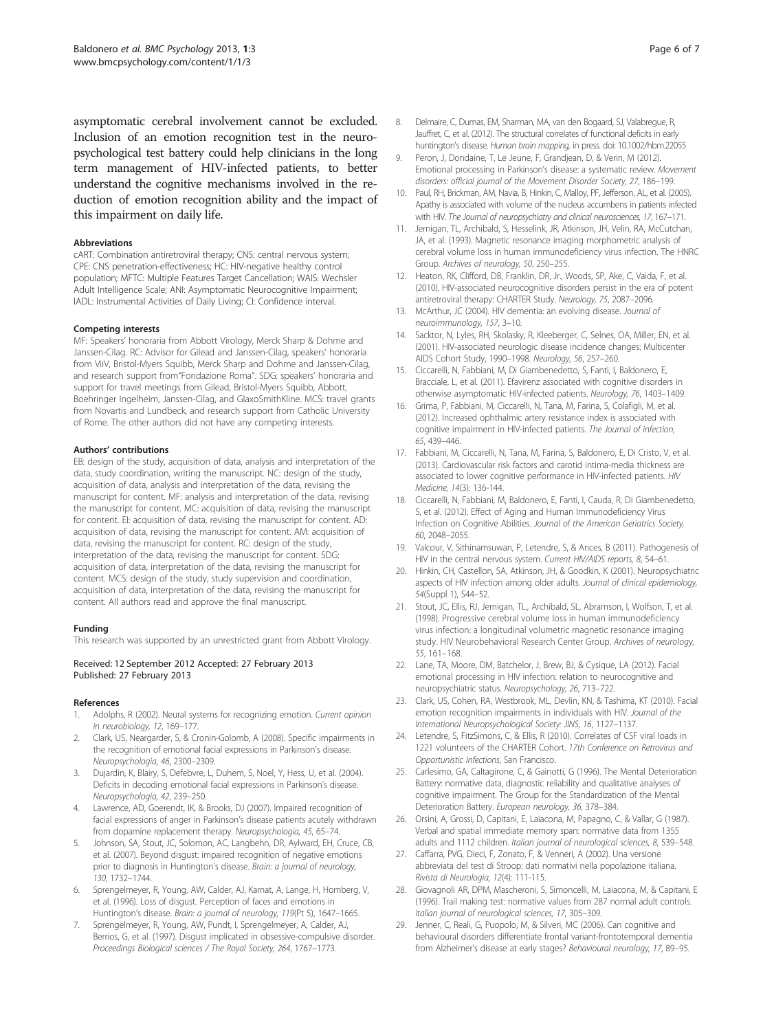<span id="page-5-0"></span>asymptomatic cerebral involvement cannot be excluded. Inclusion of an emotion recognition test in the neuropsychological test battery could help clinicians in the long term management of HIV-infected patients, to better understand the cognitive mechanisms involved in the reduction of emotion recognition ability and the impact of this impairment on daily life.

#### Abbreviations

cART: Combination antiretroviral therapy; CNS: central nervous system; CPE: CNS penetration-effectiveness; HC: HIV-negative healthy control population; MFTC: Multiple Features Target Cancellation; WAIS: Wechsler Adult Intelligence Scale; ANI: Asymptomatic Neurocognitive Impairment; IADL: Instrumental Activities of Daily Living; CI: Confidence interval.

#### Competing interests

MF: Speakers' honoraria from Abbott Virology, Merck Sharp & Dohme and Janssen-Cilag. RC: Advisor for Gilead and Janssen-Cilag, speakers' honoraria from ViiV, Bristol-Myers Squibb, Merck Sharp and Dohme and Janssen-Cilag, and research support from"Fondazione Roma". SDG: speakers' honoraria and support for travel meetings from Gilead, Bristol-Myers Squibb, Abbott, Boehringer Ingelheim, Janssen-Cilag, and GlaxoSmithKline. MCS: travel grants from Novartis and Lundbeck, and research support from Catholic University of Rome. The other authors did not have any competing interests.

#### Authors' contributions

EB: design of the study, acquisition of data, analysis and interpretation of the data, study coordination, writing the manuscript. NC: design of the study, acquisition of data, analysis and interpretation of the data, revising the manuscript for content. MF: analysis and interpretation of the data, revising the manuscript for content. MC: acquisition of data, revising the manuscript for content. EI: acquisition of data, revising the manuscript for content. AD: acquisition of data, revising the manuscript for content. AM: acquisition of data, revising the manuscript for content. RC: design of the study, interpretation of the data, revising the manuscript for content. SDG: acquisition of data, interpretation of the data, revising the manuscript for content. MCS: design of the study, study supervision and coordination, acquisition of data, interpretation of the data, revising the manuscript for content. All authors read and approve the final manuscript.

#### Funding

This research was supported by an unrestricted grant from Abbott Virology.

#### Received: 12 September 2012 Accepted: 27 February 2013 Published: 27 February 2013

#### References

- 1. Adolphs, R (2002). Neural systems for recognizing emotion. Current opinion in neurobiology, 12, 169–177.
- 2. Clark, US, Neargarder, S, & Cronin-Golomb, A (2008). Specific impairments in the recognition of emotional facial expressions in Parkinson's disease. Neuropsychologia, 46, 2300–2309.
- 3. Dujardin, K, Blairy, S, Defebvre, L, Duhem, S, Noel, Y, Hess, U, et al. (2004). Deficits in decoding emotional facial expressions in Parkinson's disease. Neuropsychologia, 42, 239–250.
- Lawrence, AD, Goerendt, IK, & Brooks, DJ (2007). Impaired recognition of facial expressions of anger in Parkinson's disease patients acutely withdrawn from dopamine replacement therapy. Neuropsychologia, 45, 65–74.
- 5. Johnson, SA, Stout, JC, Solomon, AC, Langbehn, DR, Aylward, EH, Cruce, CB, et al. (2007). Beyond disgust: impaired recognition of negative emotions prior to diagnosis in Huntington's disease. Brain: a journal of neurology, 130, 1732–1744.
- Sprengelmeyer, R, Young, AW, Calder, AJ, Karnat, A, Lange, H, Homberg, V, et al. (1996). Loss of disgust. Perception of faces and emotions in Huntington's disease. Brain: a journal of neurology, 119(Pt 5), 1647–1665.
- 7. Sprengelmeyer, R, Young, AW, Pundt, I, Sprengelmeyer, A, Calder, AJ, Berrios, G, et al. (1997). Disgust implicated in obsessive-compulsive disorder. Proceedings Biological sciences / The Royal Society, 264, 1767–1773.
- 8. Delmaire, C, Dumas, EM, Sharman, MA, van den Bogaard, SJ, Valabregue, R, Jauffret, C, et al. (2012). The structural correlates of functional deficits in early huntington's disease. Human brain mapping, in press. doi: [10.1002/hbm.22055](http://dx.doi.org/10.1002/hbm.22055)
- Peron, J, Dondaine, T, Le Jeune, F, Grandjean, D, & Verin, M (2012). Emotional processing in Parkinson's disease: a systematic review. Movement disorders: official journal of the Movement Disorder Society, 27, 186–199.
- 10. Paul, RH, Brickman, AM, Navia, B, Hinkin, C, Malloy, PF, Jefferson, AL, et al. (2005). Apathy is associated with volume of the nucleus accumbens in patients infected with HIV. The Journal of neuropsychiatry and clinical neurosciences, 17, 167-171.
- 11. Jernigan, TL, Archibald, S, Hesselink, JR, Atkinson, JH, Velin, RA, McCutchan, JA, et al. (1993). Magnetic resonance imaging morphometric analysis of cerebral volume loss in human immunodeficiency virus infection. The HNRC Group. Archives of neurology, 50, 250–255.
- 12. Heaton, RK, Clifford, DB, Franklin, DR, Jr., Woods, SP, Ake, C, Vaida, F, et al. (2010). HIV-associated neurocognitive disorders persist in the era of potent antiretroviral therapy: CHARTER Study. Neurology, 75, 2087–2096.
- 13. McArthur, JC (2004). HIV dementia: an evolving disease. Journal of neuroimmunology, 157, 3–10.
- 14. Sacktor, N, Lyles, RH, Skolasky, R, Kleeberger, C, Selnes, OA, Miller, EN, et al. (2001). HIV-associated neurologic disease incidence changes: Multicenter AIDS Cohort Study, 1990–1998. Neurology, 56, 257–260.
- 15. Ciccarelli, N, Fabbiani, M, Di Giambenedetto, S, Fanti, I, Baldonero, E, Bracciale, L, et al. (2011). Efavirenz associated with cognitive disorders in otherwise asymptomatic HIV-infected patients. Neurology, 76, 1403–1409.
- 16. Grima, P, Fabbiani, M, Ciccarelli, N, Tana, M, Farina, S, Colafigli, M, et al. (2012). Increased ophthalmic artery resistance index is associated with cognitive impairment in HIV-infected patients. The Journal of infection, 65, 439–446.
- 17. Fabbiani, M, Ciccarelli, N, Tana, M, Farina, S, Baldonero, E, Di Cristo, V, et al. (2013). Cardiovascular risk factors and carotid intima-media thickness are associated to lower cognitive performance in HIV-infected patients. HIV Medicine, 14(3): 136-144.
- 18. Ciccarelli, N, Fabbiani, M, Baldonero, E, Fanti, I, Cauda, R, Di Giambenedetto, S, et al. (2012). Effect of Aging and Human Immunodeficiency Virus Infection on Cognitive Abilities. Journal of the American Geriatrics Society, 60, 2048–2055.
- 19. Valcour, V, Sithinamsuwan, P, Letendre, S, & Ances, B (2011). Pathogenesis of HIV in the central nervous system. Current HIV/AIDS reports, 8, 54–61.
- 20. Hinkin, CH, Castellon, SA, Atkinson, JH, & Goodkin, K (2001). Neuropsychiatric aspects of HIV infection among older adults. Journal of clinical epidemiology, 54(Suppl 1), S44–52.
- 21. Stout, JC, Ellis, RJ, Jernigan, TL., Archibald, SL, Abramson, I, Wolfson, T, et al. (1998). Progressive cerebral volume loss in human immunodeficiency virus infection: a longitudinal volumetric magnetic resonance imaging study. HIV Neurobehavioral Research Center Group. Archives of neurology, 55, 161–168.
- 22. Lane, TA, Moore, DM, Batchelor, J, Brew, BJ, & Cysique, LA (2012). Facial emotional processing in HIV infection: relation to neurocognitive and neuropsychiatric status. Neuropsychology, 26, 713–722.
- 23. Clark, US, Cohen, RA, Westbrook, ML, Devlin, KN, & Tashima, KT (2010). Facial emotion recognition impairments in individuals with HIV. Journal of the International Neuropsychological Society: JINS, 16, 1127–1137.
- 24. Letendre, S, FitzSimons, C, & Ellis, R (2010). Correlates of CSF viral loads in 1221 volunteers of the CHARTER Cohort. 17th Conference on Retrovirus and Opportunistic Infections, San Francisco.
- 25. Carlesimo, GA, Caltagirone, C, & Gainotti, G (1996). The Mental Deterioration Battery: normative data, diagnostic reliability and qualitative analyses of cognitive impairment. The Group for the Standardization of the Mental Deterioration Battery. European neurology, 36, 378–384.
- 26. Orsini, A, Grossi, D, Capitani, E, Laiacona, M, Papagno, C, & Vallar, G (1987). Verbal and spatial immediate memory span: normative data from 1355 adults and 1112 children. Italian journal of neurological sciences, 8, 539–548.
- 27. Caffarra, PVG, Dieci, F, Zonato, F, & Venneri, A (2002). Una versione abbreviata del test di Stroop: dati normativi nella popolazione italiana. Rivista di Neurologia, 12(4): 111-115.
- 28. Giovagnoli AR, DPM, Mascheroni, S, Simoncelli, M, Laiacona, M, & Capitani, E (1996). Trail making test: normative values from 287 normal adult controls. Italian journal of neurological sciences, 17, 305–309.
- 29. Jenner, C, Reali, G, Puopolo, M, & Silveri, MC (2006). Can cognitive and behavioural disorders differentiate frontal variant-frontotemporal dementia from Alzheimer's disease at early stages? Behavioural neurology, 17, 89–95.